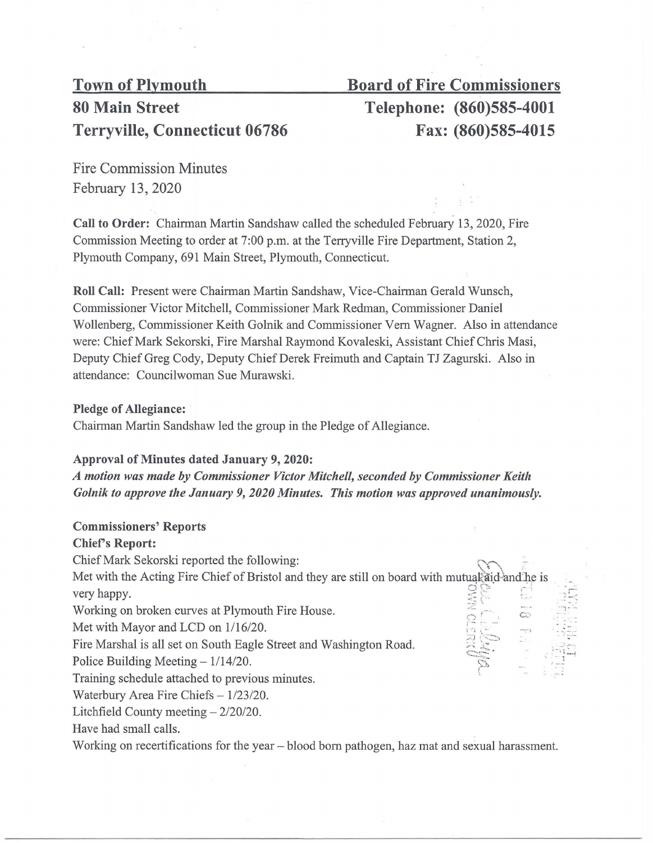# 80 Main Street Telephone: (860)585-4001 Terryville, Connecticut 06786 Fax: (860)585-4015

# Town of Plymouth Board of Fire Commissioners

Fire Commission Minutes February 13, 2020

Call to Order: Chairman Martin Sandshaw called the scheduled February 13, 2020, Fire Commission Meeting to order at 7:00 p.m. at the Terryville Fire Department, Station 2, Plymouth Company, 691 Main Street, Plymouth, Connecticut.

Roll Call: Present were Chairman Martin Sandshaw, Vice-Chairman Gerald Wunsch, Commissioner Victor Mitchell, Commissioner Mark Redman, Commissioner Daniel Wollenberg, Commissioner Keith Golnik and Commissioner Vern Wagner. Also in attendance were: Chief Mark Sekorski, Fire Marshal Raymond Kovaleski, Assistant Chief Chris Masi, Deputy Chief Greg Cody, Deputy Chief Derek Freimuth and Captain TJ Zagurski. Also in attendance: Councilwoman Sue Murawski.

#### Pledge of Allegiance:

Chairman Martin Sandshaw led the group in the Pledge of Allegiance.

#### Approval of Minutes dated January 9, 2020:

*A motion was made by Commissioner Victor Mitchell, seconded by Commissioner Keith Golnik to approve the January 9, 2020 Minutes. This motion was approved unanimously.* 

## Commissioners' Reports

## Chief's Report:

Chief Mark Sekorski reported the following:

 $O^{\text{O}}$  . The set  $\sharp \setminus \mathbb{C}$  . In the  $\mathbb{C}$ ··~-::: ·.. Met with the Acting Fire Chief of Bristol and they are still on board with mutual aid and he is very happy.

Working on broken curves at Plymouth Fire House.

Met with Mayor and LCD on 1/16/20.

Fire Marshal is all set on South Eagle Street and Washington Road.

Police Building Meeting  $-1/14/20$ .

Training schedule attached to previous minutes.

Waterbury Area Fire Chiefs  $-1/23/20$ .

Litchfield County meeting  $-2/20/20$ .

Have had small calls.

Working on recertifications for the year - blood born pathogen, haz mat and sexual harassment.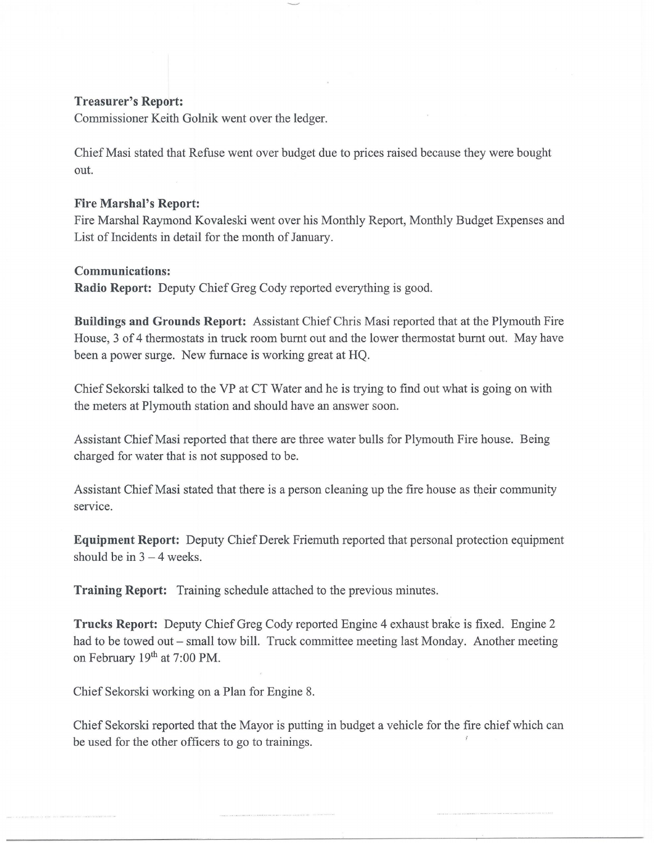#### **Treasurer's Report:**

Commissioner Keith Golnik went over the ledger.

Chief Masi stated that Refuse went over budget due to prices raised because they were bought out.

#### **Fire Marshal's Report:**

Fire Marshal Raymond Kovaleski went over his Monthly Report, Monthly Budget Expenses and List of Incidents in detail for the month of January.

#### **Communications:**

**Radio Report:** Deputy Chief Greg Cody reported everything is good.

**Buildings and Grounds Report:** Assistant Chief Chris Masi reported that at the Plymouth Fire House, 3 of 4 thermostats in truck room burnt out and the lower thermostat burnt out. May have been a power surge. New furnace is working great at HQ.

Chief Sekorski talked to the VP at CT Water and he is trying to find out what is going on with the meters at Plymouth station and should have an answer soon.

Assistant Chief Masi reported that there are three water bulls for Plymouth Fire house. Being charged for water that is not supposed to be.

Assistant Chief Masi stated that there is a person cleaning up the fire house as their community service.

**Equipment Report:** Deputy Chief Derek Friemuth reported that personal protection equipment should be in  $3 - 4$  weeks.

**Training Report:** Training schedule attached to the previous minutes.

**Trucks Report:** Deputy Chief Greg Cody reported Engine 4 exhaust brake is fixed. Engine 2 had to be towed out – small tow bill. Truck committee meeting last Monday. Another meeting on February 19<sup>th</sup> at 7:00 PM.

Chief Sekorski working on a Plan for Engine 8.

Chief Sekorski reported that the Mayor is putting in budget a vehicle for the fire chief which can be used for the other officers to go to trainings.